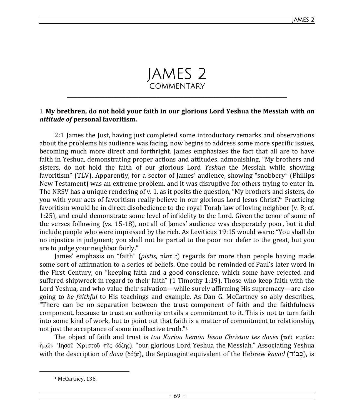

## **1 My brethren, do not hold your faith in our glorious Lord Yeshua the Messiah with** *an attitude of* **personal favoritism.**

**2:1** James the Just, having just completed some introductory remarks and observations about the problems his audience was facing, now begins to address some more specific issues, becoming much more direct and forthright. James emphasizes the fact that all are to have faith in Yeshua, demonstrating proper actions and attitudes, admonishing, "My brothers and sisters, do not hold the faith of our glorious Lord *Yeshua* the Messiah while showing favoritism" (TLV). Apparently, for a sector of James' audience, showing "snobbery" (Phillips New Testament) was an extreme problem, and it was disruptive for others trying to enter in. The NRSV has a unique rendering of v. 1, as it posits the question, "My brothers and sisters, do you with your acts of favoritism really believe in our glorious Lord Jesus Christ?" Practicing favoritism would be in direct disobedience to the royal Torah law of loving neighbor (v. 8; cf. 1:25), and could demonstrate some level of infidelity to the Lord. Given the tenor of some of the verses following (vs. 15-18), not all of James' audience was desperately poor, but it did include people who were impressed by the rich. As Leviticus 19:15 would warn: "You shall do no injustice in judgment; you shall not be partial to the poor nor defer to the great, but you are to judge your neighbor fairly."

James' emphasis on "faith" (*pistis*, πίστις) regards far more than people having made some sort of affirmation to a series of beliefs. One could be reminded of Paul's later word in the First Century, on "keeping faith and a good conscience, which some have rejected and suffered shipwreck in regard to their faith" (1 Timothy 1:19). Those who keep faith with the Lord Yeshua, and who value their salvation—while surely affirming His supremacy—are also going to *be faithful* to His teachings and example. As Dan G. McCartney so ably describes, "There can be no separation between the trust component of faith and the faithfulness component, because to trust an authority entails a commitment to it. This is not to turn faith into some kind of work, but to point out that faith is a matter of commitment to relationship, not just the acceptance of some intellective truth." **1**

The object of faith and trust is *tou Kuriou hēmōn Iēsou Christou tēs doxēs* (τού κυρίου  $\hat{\eta}$ μῶν Ἰησοῦ Χριστοῦ τῆς δόξης), "our glorious Lord Yeshua the Messiah." Associating Yeshua with the description of *doxa* ( $\delta\delta\zeta\alpha$ ), the Septuagint equivalent of the Hebrew *kavod* ( $\epsilon$ ברׂר), is

**<sup>1</sup>** McCartney, 136.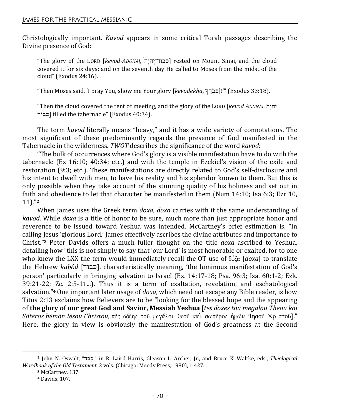Christologically important. *Kavod* appears in some critical Torah passages describing the Divine presence of God:

"The glory of the LORD [*kevod-ADONAI*, 'hw"hy >-dAbK.] rested on Mount Sinai, and the cloud covered it for six days; and on the seventh day He called to Moses from the midst of the cloud" (Exodus 24:16).

"Then Moses said, 'I pray You, show me Your glory [*kevodekha*, ^d <)b oK .]!'" (Exodus 33:18).

"Then the cloud covered the tent of meeting, and the glory of the LORD [*kevod ADONAI*, hw"ëhy > dAbåk .] filled the tabernacle" (Exodus 40:34).

The term *kavod* literally means "heavy," and it has a wide variety of connotations. The most significant of these predominantly regards the presence of God manifested in the Tabernacle in the wilderness. *TWOT* describes the significance of the word *kavod:*

"The bulk of occurrences where God's glory is a visible manifestation have to do with the tabernacle (Ex 16:10; 40:34; etc.) and with the temple in Ezekiel's vision of the exile and restoration (9:3; etc.). These manifestations are directly related to God's self-disclosure and his intent to dwell with men, to have his reality and his splendor known to them. But this is only possible when they take account of the stunning quality of his holiness and set out in faith and obedience to let that character be manifested in them (Num 14:10; Isa 6:3; Ezr 10, 11)."**<sup>2</sup>**

When James uses the Greek term *doxa*, *doxa* carries with it the same understanding of *kavod*. While *doxa* is a title of honor to be sure, much more than just appropriate honor and reverence to be issued toward Yeshua was intended. McCartney's brief estimation is, "In calling Jesus 'glorious Lord,' James effectively ascribes the divine attributes and importance to Christ."**3** Peter Davids offers a much fuller thought on the title *doxa* ascribed to Yeshua, detailing how "this is not simply to say that 'our Lord' is most honorable or exalted, for to one who knew the LXX the term would immediately recall the OT use of  $\delta \delta \xi \alpha$  *[doxa]* to translate the Hebrew *kābôd* [כבוד], characteristically meaning, 'the luminous manifestation of God's person' particularly in bringing salvation to Israel (Ex. 14:17-18; Psa. 96:3; Isa. 60:1-2; Ezk. 39:21-22; Zc. 2:5-11...). Thus it is a term of exaltation, revelation, and eschatological salvation."**4** One important later usage of *doxa*, which need not escape any Bible reader, is how Titus 2:13 exclaims how Believers are to be "looking for the blessed hope and the appearing of **the glory of our great God and Savior, Messiah Yeshua** [*tēs doxēs tou megalou Theou kai*   $S$ ō*tēros hēmōn Iēsou Christou,* τῆς δόξης τοῦ μεγάλου θεοῦ καὶ σωτῆρος ἡμῶν Ἰησοῦ Χριστοῦ]." Here, the glory in view is obviously the manifestation of God's greatness at the Second

<sup>&</sup>lt;sup>2</sup> John N. Oswalt, "כֵבָּך", in R. Laird Harris, Gleason L. Archer, Jr., and Bruce K. Waltke, eds., *Theological Wordbook of the Old Testament*, 2 vols. (Chicago: Moody Press, 1980), 1:427.

**<sup>3</sup>** McCartney, 137.

**<sup>4</sup>** Davids, 107.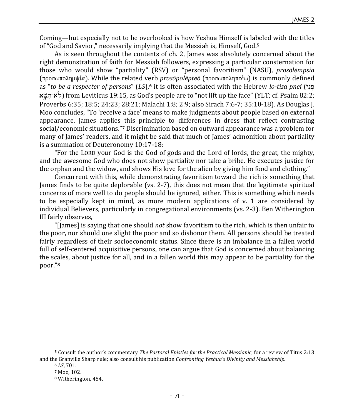Coming—but especially not to be overlooked is how Yeshua Himself is labeled with the titles of "God and Savior," necessarily implying that the Messiah is, Himself, God.**<sup>5</sup>**

As is seen throughout the contents of ch. 2, James was absolutely concerned about the right demonstration of faith for Messiah followers, expressing a particular consternation for those who would show "partiality" (RSV) or "personal favoritism" (NASU), *prosōlēmpsia*  $(\pi \rho o \sigma \omega \pi o \lambda \eta \mu \psi \alpha)$ . While the related verb *prosōpolēpteō* (προσωποληπτέω) is commonly defined as "*to be a respecter of persons*" (*LS*),**6** it is often associated with the Hebrew *lo-tisa pnei* (ynEp . aF'äti-al{) from Leviticus 19:15, as God's people are to "not lift up the face" (YLT; cf. Psalm 82:2; Proverbs 6:35; 18:5; 24:23; 28:21; Malachi 1:8; 2:9; also Sirach 7:6-7; 35:10-18). As Douglas J. Moo concludes, "To 'receive a face' means to make judgments about people based on external appearance. James applies this principle to differences in dress that reflect contrasting social/economic situations."**7** Discrimination based on outward appearance was a problem for many of James' readers, and it might be said that much of James' admonition about partiality is a summation of Deuteronomy 10:17-18:

"For the LORD your God is the God of gods and the Lord of lords, the great, the mighty, and the awesome God who does not show partiality nor take a bribe. He executes justice for the orphan and the widow, and shows His love for the alien by giving him food and clothing."

Concurrent with this, while demonstrating favoritism toward the rich is something that James finds to be quite deplorable (vs. 2-7), this does not mean that the legitimate spiritual concerns of more well to do people should be ignored, either. This is something which needs to be especially kept in mind, as more modern applications of v. 1 are considered by individual Believers, particularly in congregational environments (vs. 2-3). Ben Witherington III fairly observes,

"[James] is saying that one should *not* show favoritism to the rich, which is then unfair to the poor, nor should one slight the poor and so dishonor them. All persons should be treated fairly regardless of their socioeconomic status. Since there is an imbalance in a fallen world full of self-centered acquisitive persons, one can argue that God is concerned about balancing the scales, about justice for all, and in a fallen world this may appear to be partiality for the poor."**<sup>8</sup>**

**<sup>5</sup>** Consult the author's commentary *The Pastoral Epistles for the Practical Messianic*, for a review of Titus 2:13 and the Granville Sharp rule; also consult his publication *Confronting Yeshua's Divinity and Messiahship.* 

**<sup>6</sup>** *LS*, 701.

**<sup>7</sup>** Moo, 102.

**<sup>8</sup>** Witherington, 454.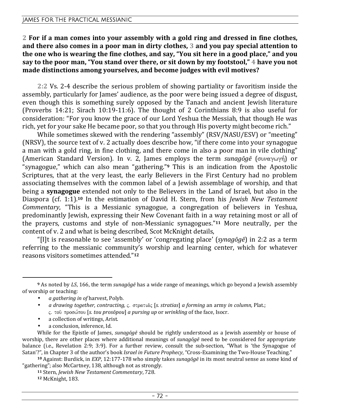**2 For if a man comes into your assembly with a gold ring and dressed in fine clothes, and there also comes in a poor man in dirty clothes, 3 and you pay special attention to the one who is wearing the fine clothes, and say, "You sit here in a good place," and you say to the poor man, "You stand over there, or sit down by my footstool," 4 have you not made distinctions among yourselves, and become judges with evil motives?** 

**2:2** Vs. 2-4 describe the serious problem of showing partiality or favoritism inside the assembly, particularly for James' audience, as the poor were being issued a degree of disgust, even though this is something surely opposed by the Tanach and ancient Jewish literature (Proverbs 14:21; Sirach 10:19-11:6). The thought of 2 Corinthians 8:9 is also useful for consideration: "For you know the grace of our Lord Yeshua the Messiah, that though He was rich, yet for your sake He became poor, so that you through His poverty might become rich."

While sometimes skewed with the rendering "assembly" (RSV/NASU/ESV) or "meeting" (NRSV), the source text of v. 2 actually does describe how, "if there come into your synagogue a man with a gold ring, in fine clothing, and there come in also a poor man in vile clothing" (American Standard Version). In v. 2, James employs the term *sunagōgē* (συναγωγή) or "synagogue," which can also mean "gathering."**9** This is an indication from the Apostolic Scriptures, that at the very least, the early Believers in the First Century had no problem associating themselves with the common label of a Jewish assemblage of worship, and that being a **synagogue** extended not only to the Believers in the Land of Israel, but also in the Diaspora (cf. 1:1).**10** In the estimation of David H. Stern, from his *Jewish New Testament Commentary*, "This is a Messianic synagogue, a congregation of believers in Yeshua, predominantly Jewish, expressing their New Covenant faith in a way retaining most or all of the prayers, customs and style of non-Messianic synagogues."**11** More neutrally, per the content of v. 2 and what is being described, Scot McKnight details,

"[I]t is reasonable to see 'assembly' or 'congregating place' (*synagōgē*) in 2:2 as a term referring to the messianic community's worship and learning center, which for whatever reasons visitors sometimes attended."**<sup>12</sup>**

- a collection of writings, Arist.
- a conclusion, inference, Id.

**<sup>9</sup>** As noted by *LS*, 166, the term *sunagōgē* has a wide range of meanings, which go beyond a Jewish assembly of worship or teaching:

<sup>•</sup> *a gathering in of* harvest, Polyb.

*a drawing together, contracting,*  $\varsigma$ *. στρατιᾶς [s. stratias] <i>a forming* an army *in column, Plat.*; jÅ tou/ prosw ,pou [*s. tou prosōpou*] *a pursing up* or *wrinkling* of the face, Isocr.

While for the Epistle of James, *sunagōgē* should be rightly understood as a Jewish assembly or house of worship, there are other places where additional meanings of *sunagōgē* need to be considered for appropriate balance (i.e., Revelation 2:9; 3:9). For a further review, consult the sub-section, "What is 'the Synagogue of Satan'?", in Chapter 3 of the author's book *Israel in Future Prophecy*, "Cross-Examining the Two-House Teaching."

**<sup>10</sup>** Against: Burdick, in *EXP*, 12:177-178 who simply takes *sunagōgē* in its most neutral sense as some kind of "gathering"; also McCartney, 138, although not as strongly.

**<sup>11</sup>** Stern, *Jewish New Testament Commentary*, 728.

**<sup>12</sup>** McKnight, 183.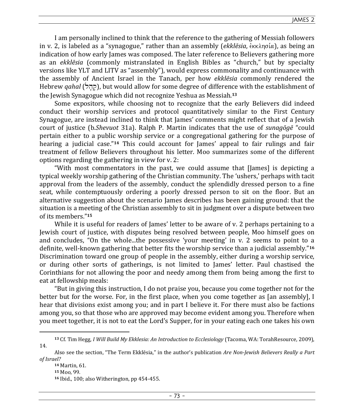I am personally inclined to think that the reference to the gathering of Messiah followers in v. 2, is labeled as a "synagogue," rather than an assembly (*ekklēsia*,  $\epsilon_{\kappa}$  $\kappa \lambda$ ησία), as being an indication of how early James was composed. The later reference to Believers gathering more as an *ekklēsia* (commonly mistranslated in English Bibles as "church," but by specialty versions like YLT and LITV as "assembly"), would express commonality and continuance with the assembly of Ancient Israel in the Tanach, per how *ekklēsia* commonly rendered the Hebrew *qahal* (קהל), but would allow for some degree of difference with the establishment of the Jewish Synagogue which did not recognize Yeshua as Messiah.**<sup>13</sup>**

Some expositors, while choosing not to recognize that the early Believers did indeed conduct their worship services and protocol quantitatively similar to the First Century Synagogue, are instead inclined to think that James' comments might reflect that of a Jewish court of justice (b.*Shevuot* 31a). Ralph P. Martin indicates that the use of *sunagōgē* "could pertain either to a public worship service or a congregational gathering for the purpose of hearing a judicial case."**14** This could account for James' appeal to fair rulings and fair treatment of fellow Believers throughout his letter. Moo summarizes some of the different options regarding the gathering in view for v. 2:

"With most commentators in the past, we could assume that [James] is depicting a typical weekly worship gathering of the Christian community. The 'ushers,' perhaps with tacit approval from the leaders of the assembly, conduct the splendidly dressed person to a fine seat, while contemptuously ordering a poorly dressed person to sit on the floor. But an alternative suggestion about the scenario James describes has been gaining ground: that the situation is a meeting of the Christian assembly to sit in judgment over a dispute between two of its members."**<sup>15</sup>**

While it is useful for readers of James' letter to be aware of v. 2 perhaps pertaining to a Jewish court of justice, with disputes being resolved between people, Moo himself goes on and concludes, "On the whole...the possessive 'your meeting' in v. 2 seems to point to a definite, well-known gathering that better fits the worship service than a judicial assembly."**<sup>16</sup>** Discrimination toward one group of people in the assembly, either during a worship service, or during other sorts of gatherings, is not limited to James' letter. Paul chastised the Corinthians for not allowing the poor and needy among them from being among the first to eat at fellowship meals:

"But in giving this instruction, I do not praise you, because you come together not for the better but for the worse. For, in the first place, when you come together as [an assembly], I hear that divisions exist among you; and in part I believe it. For there must also be factions among you, so that those who are approved may become evident among you. Therefore when you meet together, it is not to eat the Lord's Supper, for in your eating each one takes his own

**<sup>13</sup>** Cf. Tim Hegg, *I Will Build My Ekklesia: An Introduction to Ecclesiology* (Tacoma, WA: TorahResource, 2009), 14.

Also see the section, "The Term Ekklēsia," in the author's publication *Are Non-Jewish Believers Really a Part of Israel?*

**<sup>14</sup>** Martin, 61.

**<sup>15</sup>** Moo, 99.

**<sup>16</sup>** Ibid., 100; also Witherington, pp 454-455.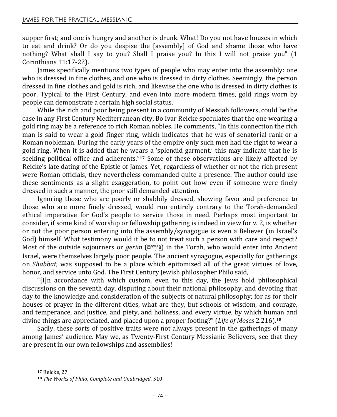supper first; and one is hungry and another is drunk. What! Do you not have houses in which to eat and drink? Or do you despise the [assembly] of God and shame those who have nothing? What shall I say to you? Shall I praise you? In this I will not praise you" (1 Corinthians 11:17-22).

James specifically mentions two types of people who may enter into the assembly: one who is dressed in fine clothes, and one who is dressed in dirty clothes. Seemingly, the person dressed in fine clothes and gold is rich, and likewise the one who is dressed in dirty clothes is poor. Typical to the First Century, and even into more modern times, gold rings worn by people can demonstrate a certain high social status.

While the rich and poor being present in a community of Messiah followers, could be the case in any First Century Mediterranean city, Bo Ivar Reicke speculates that the one wearing a gold ring may be a reference to rich Roman nobles. He comments, "In this connection the rich man is said to wear a gold finger ring, which indicates that he was of senatorial rank or a Roman nobleman. During the early years of the empire only such men had the right to wear a gold ring. When it is added that he wears a 'splendid garment,' this may indicate that he is seeking political office and adherents."**17** Some of these observations are likely affected by Reicke's late dating of the Epistle of James. Yet, regardless of whether or not the rich present were Roman officials, they nevertheless commanded quite a presence. The author could use these sentiments as a slight exaggeration, to point out how even if someone were finely dressed in such a manner, the poor still demanded attention.

Ignoring those who are poorly or shabbily dressed, showing favor and preference to those who are more finely dressed, would run entirely contrary to the Torah-demanded ethical imperative for God's people to service those in need. Perhaps most important to consider, if some kind of worship or fellowship gathering is indeed in view for v. 2, is whether or not the poor person entering into the assembly/synagogue is even a Believer (in Israel's God) himself. What testimony would it be to not treat such a person with care and respect? Most of the outside sojourners or *gerim* (בֵירִים) in the Torah, who would enter into Ancient Israel, were themselves largely poor people. The ancient synagogue, especially for gatherings on *Shabbat*, was supposed to be a place which epitomized all of the great virtues of love, honor, and service unto God. The First Century Jewish philosopher Philo said,

"[I]n accordance with which custom, even to this day, the Jews hold philosophical discussions on the seventh day, disputing about their national philosophy, and devoting that day to the knowledge and consideration of the subjects of natural philosophy; for as for their houses of prayer in the different cities, what are they, but schools of wisdom, and courage, and temperance, and justice, and piety, and holiness, and every virtue, by which human and divine things are appreciated, and placed upon a proper footing?" (*Life of Moses* 2.216).**<sup>18</sup>**

Sadly, these sorts of positive traits were not always present in the gatherings of many among James' audience. May we, as Twenty-First Century Messianic Believers, see that they are present in our own fellowships and assemblies!

**<sup>17</sup>** Reicke, 27.

**<sup>18</sup>** *The Works of Philo: Complete and Unabridged*, 510.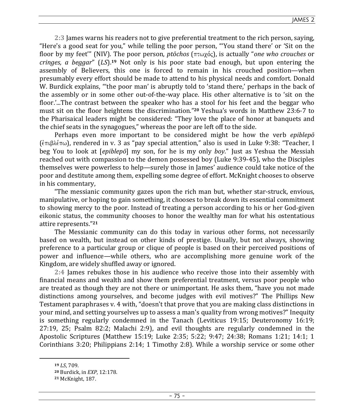JAMES 2

**2:3** James warns his readers not to give preferential treatment to the rich person, saying, "Here's a good seat for you," while telling the poor person, "'You stand there' or 'Sit on the floor by my feet" (NIV). The poor person, *ptōchos* (πτωχός), is actually "*one who crouches* or *cringes, a beggar*" (*LS*).**19** Not only is his poor state bad enough, but upon entering the assembly of Believers, this one is forced to remain in his crouched position—when presumably every effort should be made to attend to his physical needs and comfort. Donald W. Burdick explains, "'the poor man' is abruptly told to 'stand there,' perhaps in the back of the assembly or in some other out-of-the-way place. His other alternative is to 'sit on the floor.'...The contrast between the speaker who has a stool for his feet and the beggar who must sit on the floor heightens the discrimination." **<sup>20</sup>** Yeshua's words in Matthew 23:6-7 to the Pharisaical leaders might be considered: "They love the place of honor at banquets and the chief seats in the synagogues," whereas the poor are left off to the side.

Perhaps even more important to be considered might be how the verb *epiblepō*  $(\epsilon_{\pi\mu} \beta \lambda \epsilon_{\pi\omega})$ , rendered in v. 3 as "pay special attention," also is used in Luke 9:38: "Teacher, I beg You to look at [*epiblepō*] my son, for he is my only *boy*." Just as Yeshua the Messiah reached out with compassion to the demon possessed boy (Luke 9:39-45), who the Disciples themselves were powerless to help—surely those in James' audience could take notice of the poor and destitute among them, expelling some degree of effort. McKnight chooses to observe in his commentary,

"The messianic community gazes upon the rich man but, whether star-struck, envious, manipulative, or hoping to gain something, it chooses to break down its essential commitment to showing mercy to the poor. Instead of treating a person according to his or her God-given eikonic status, the community chooses to honor the wealthy man for what his ostentatious attire represents."**<sup>21</sup>**

The Messianic community can do this today in various other forms, not necessarily based on wealth, but instead on other kinds of prestige. Usually, but not always, showing preference to a particular group or clique of people is based on their perceived positions of power and influence—while others, who are accomplishing more genuine work of the Kingdom, are widely shuffled away or ignored.

**2:4** James rebukes those in his audience who receive those into their assembly with financial means and wealth and show them preferential treatment, versus poor people who are treated as though they are not there or unimportant. He asks them, "have you not made distinctions among yourselves, and become judges with evil motives?" The Phillips New Testament paraphrases v. 4 with, "doesn't that prove that you are making class distinctions in your mind, and setting yourselves up to assess a man's quality from wrong motives?" Inequity is something regularly condemned in the Tanach (Leviticus 19:15; Deuteronomy 16:19; 27:19, 25; Psalm 82:2; Malachi 2:9), and evil thoughts are regularly condemned in the Apostolic Scriptures (Matthew 15:19; Luke 2:35; 5:22; 9:47; 24:38; Romans 1:21; 14:1; 1 Corinthians 3:20; Philippians 2:14; 1 Timothy 2:8). While a worship service or some other

**<sup>19</sup>** *LS*, 709.

**<sup>20</sup>** Burdick, in *EXP*, 12:178.

**<sup>21</sup>** McKnight, 187.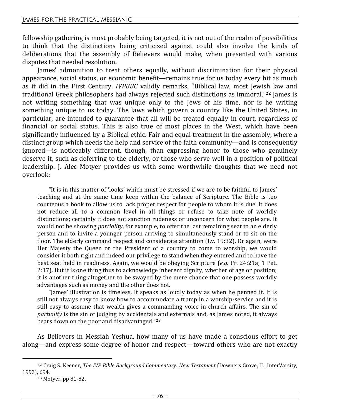fellowship gathering is most probably being targeted, it is not out of the realm of possibilities to think that the distinctions being criticized against could also involve the kinds of deliberations that the assembly of Believers would make, when presented with various disputes that needed resolution.

James' admonition to treat others equally, without discrimination for their physical appearance, social status, or economic benefit—remains true for us today every bit as much as it did in the First Century. *IVPBBC* validly remarks, "Biblical law, most Jewish law and traditional Greek philosophers had always rejected such distinctions as immoral."**22** James is not writing something that was unique only to the Jews of his time, nor is he writing something unique to us today. The laws which govern a country like the United States, in particular, are intended to guarantee that all will be treated equally in court, regardless of financial or social status. This is also true of most places in the West, which have been significantly influenced by a Biblical ethic. Fair and equal treatment in the assembly, where a distinct group which needs the help and service of the faith community—and is consequently ignored—is noticeably different, though, than expressing honor to those who genuinely deserve it, such as deferring to the elderly, or those who serve well in a position of political leadership. J. Alec Motyer provides us with some worthwhile thoughts that we need not overlook:

"It is in this matter of 'looks' which must be stressed if we are to be faithful to James' teaching and at the same time keep within the balance of Scripture. The Bible is too courteous a book to allow us to lack proper respect for people to whom it is due. It does not reduce all to a common level in all things or refuse to take note of worldly distinctions; certainly it does not sanction rudeness or unconcern for what people are. It would not be showing *partiality*, for example, to offer the last remaining seat to an elderly person and to invite a younger person arriving to simultaneously stand or to sit on the floor. The elderly command respect and considerate attention (Lv. 19:32). Or again, were Her Majesty the Queen or the President of a country to come to worship, we would consider it both right and indeed our privilege to stand when they entered and to have the best seat held in readiness. Again, we would be obeying Scripture (*e.g.* Pr. 24:21a; 1 Pet. 2:17). But it is one thing thus to acknowledge inherent dignity, whether of age or position; it is another thing altogether to be swayed by the mere chance that one possess worldly advantages such as money and the other does not.

"James' illustration is timeless. It speaks as loudly today as when he penned it. It is still not always easy to know how to accommodate a tramp in a worship-service and it is still easy to assume that wealth gives a commanding voice in church affairs. The sin of *partiality* is the sin of judging by accidentals and externals and, as James noted, it always bears down on the poor and disadvantaged."**<sup>23</sup>**

As Believers in Messiah Yeshua, how many of us have made a conscious effort to get along—and express some degree of honor and respect—toward others who are not exactly

**<sup>22</sup>** Craig S. Keener, *The IVP Bible Background Commentary: New Testament* (Downers Grove, IL: InterVarsity, 1993), 694.

**<sup>23</sup>** Motyer, pp 81-82.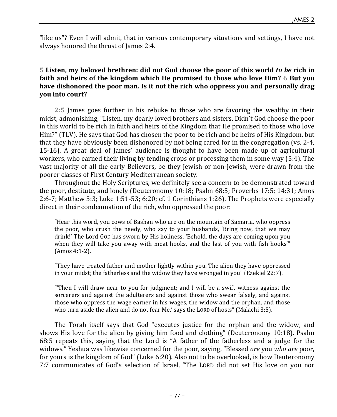"like us"? Even I will admit, that in various contemporary situations and settings, I have not always honored the thrust of James 2:4.

# **5 Listen, my beloved brethren: did not God choose the poor of this world** *to be* **rich in faith and heirs of the kingdom which He promised to those who love Him? 6 But you have dishonored the poor man. Is it not the rich who oppress you and personally drag you into court?**

**2:5** James goes further in his rebuke to those who are favoring the wealthy in their midst, admonishing, "Listen, my dearly loved brothers and sisters. Didn't God choose the poor in this world to be rich in faith and heirs of the Kingdom that He promised to those who love Him?" (TLV). He says that God has chosen the poor to be rich and be heirs of His Kingdom, but that they have obviously been dishonored by not being cared for in the congregation (vs. 2-4, 15-16). A great deal of James' audience is thought to have been made up of agricultural workers, who earned their living by tending crops or processing them in some way (5:4). The vast majority of all the early Believers, be they Jewish or non-Jewish, were drawn from the poorer classes of First Century Mediterranean society.

Throughout the Holy Scriptures, we definitely see a concern to be demonstrated toward the poor, destitute, and lonely (Deuteronomy 10:18; Psalm 68:5; Proverbs 17:5; 14:31; Amos 2:6-7; Matthew 5:3; Luke 1:51-53; 6:20; cf. 1 Corinthians 1:26). The Prophets were especially direct in their condemnation of the rich, who oppressed the poor:

"Hear this word, you cows of Bashan who are on the mountain of Samaria, who oppress the poor, who crush the needy, who say to your husbands, 'Bring now, that we may drink!' The Lord GOD has sworn by His holiness, 'Behold, the days are coming upon you when they will take you away with meat hooks, and the last of you with fish hooks'" (Amos 4:1-2).

"They have treated father and mother lightly within you. The alien they have oppressed in your midst; the fatherless and the widow they have wronged in you" (Ezekiel 22:7).

"'Then I will draw near to you for judgment; and I will be a swift witness against the sorcerers and against the adulterers and against those who swear falsely, and against those who oppress the wage earner in his wages, the widow and the orphan, and those who turn aside the alien and do not fear Me,' says the LORD of hosts" (Malachi 3:5).

The Torah itself says that God "executes justice for the orphan and the widow, and shows His love for the alien by giving him food and clothing" (Deuteronomy 10:18). Psalm 68:5 repeats this, saying that the Lord is "A father of the fatherless and a judge for the widows." Yeshua was likewise concerned for the poor, saying, "Blessed *are* you *who are* poor, for yours is the kingdom of God" (Luke 6:20). Also not to be overlooked, is how Deuteronomy 7:7 communicates of God's selection of Israel, "The LORD did not set His love on you nor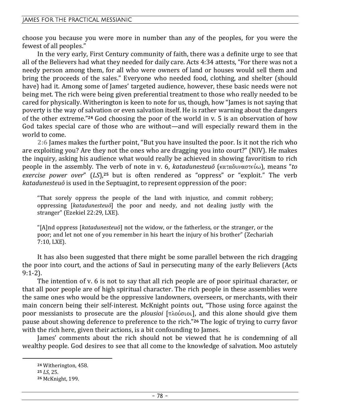choose you because you were more in number than any of the peoples, for you were the fewest of all peoples."

In the very early, First Century community of faith, there was a definite urge to see that all of the Believers had what they needed for daily care. Acts 4:34 attests, "For there was not a needy person among them, for all who were owners of land or houses would sell them and bring the proceeds of the sales." Everyone who needed food, clothing, and shelter (should have) had it. Among some of James' targeted audience, however, these basic needs were not being met. The rich were being given preferential treatment to those who really needed to be cared for physically. Witherington is keen to note for us, though, how "James is not saying that poverty is the way of salvation or even salvation itself. He is rather warning about the dangers of the other extreme."**24** God choosing the poor of the world in v. 5 is an observation of how God takes special care of those who are without—and will especially reward them in the world to come.

**2:6** James makes the further point, "But you have insulted the poor. Is it not the rich who are exploiting you? Are they not the ones who are dragging you into court?" (NIV). He makes the inquiry, asking his audience what would really be achieved in showing favoritism to rich people in the assembly. The verb of note in v. 6, *katadunesteuō* (καταδυναστεύω), means "to *exercise power over*" (*LS*),**25** but is often rendered as "oppress" or "exploit." The verb *katadunesteuō* is used in the Septuagint, to represent oppression of the poor:

"That sorely oppress the people of the land with injustice, and commit robbery; oppressing [*katadunesteuō*] the poor and needy, and not dealing justly with the stranger" (Ezekiel 22:29, LXE).

"[A]nd oppress [*katadunesteuō*] not the widow, or the fatherless, or the stranger, or the poor; and let not one of you remember in his heart the injury of his brother" (Zechariah 7:10, LXE).

It has also been suggested that there might be some parallel between the rich dragging the poor into court, and the actions of Saul in persecuting many of the early Believers (Acts 9:1-2).

The intention of v. 6 is not to say that all rich people are of poor spiritual character, or that all poor people are of high spiritual character. The rich people in these assemblies were the same ones who would be the oppressive landowners, overseers, or merchants, with their main concern being their self-interest. McKnight points out, "Those using force against the poor messianists to prosecute are the *plousioi* [ $\pi\lambda$ ούσιοι], and this alone should give them pause about showing deference to preference to the rich."**26** The logic of trying to curry favor with the rich here, given their actions, is a bit confounding to James.

James' comments about the rich should not be viewed that he is condemning of all wealthy people. God desires to see that all come to the knowledge of salvation. Moo astutely

**<sup>24</sup>** Witherington, 458.

**<sup>25</sup>** *LS*, 25.

**<sup>26</sup>** McKnight, 199.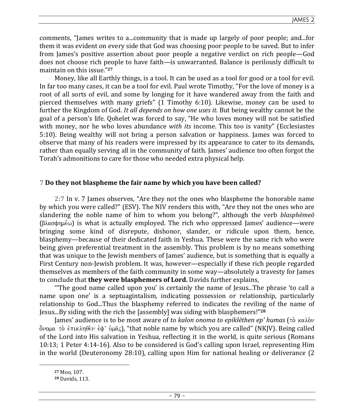comments, "James writes to a...community that is made up largely of poor people; and...for them it was evident on every side that God was choosing poor people to be saved. But to infer from James's positive assertion about poor people a negative verdict on rich people—God does not choose rich people to have faith—is unwarranted. Balance is perilously difficult to maintain on this issue."**<sup>27</sup>**

Money, like all Earthly things, is a tool. It can be used as a tool for good or a tool for evil. In far too many cases, it can be a tool for evil. Paul wrote Timothy, "For the love of money is a root of all sorts of evil, and some by longing for it have wandered away from the faith and pierced themselves with many griefs" (1 Timothy 6:10). Likewise, money can be used to further the Kingdom of God. *It all depends on how one uses it.* But being wealthy cannot be the goal of a person's life. Qohelet was forced to say, "He who loves money will not be satisfied with money, nor he who loves abundance *with its* income. This too is vanity" (Ecclesiastes 5:10). Being wealthy will not bring a person salvation or happiness. James was forced to observe that many of his readers were impressed by its appearance to cater to its demands, rather than equally serving all in the community of faith. James' audience too often forgot the Torah's admonitions to care for those who needed extra physical help.

# **7 Do they not blaspheme the fair name by which you have been called?**

**2:7** In v. 7 James observes, "Are they not the ones who blaspheme the honorable name by which you were called?" (ESV). The NIV renders this with, "Are they not the ones who are slandering the noble name of him to whom you belong?", although the verb *blasphēmeō*  $(\beta \lambda \alpha \sigma \phi \eta \mu \epsilon \omega)$  is what is actually employed. The rich who oppressed James' audience—were bringing some kind of disrepute, dishonor, slander, or ridicule upon them, hence, blasphemy—because of their dedicated faith in Yeshua. These were the same rich who were being given preferential treatment in the assembly. This problem is by no means something that was unique to the Jewish members of James' audience, but is something that is equally a First Century non-Jewish problem. It was, however—especially if these rich people regarded themselves as members of the faith community in some way—absolutely a travesty for James to conclude that **they were blasphemers of Lord.** Davids further explains,

"'The good name called upon you' is certainly the name of Jesus...The phrase 'to call a name upon one' is a septuagintalism, indicating possession or relationship, particularly relationship to God...Thus the blasphemy referred to indicates the reviling of the name of Jesus...By siding with the rich the [assembly] was siding with blasphemers!"**<sup>28</sup>**

James' audience is to be most aware of *to kalon onoma to epiklēthen ep' humas* (τὸ καλὸν  $\delta$ νομα τὸ ἐπικληθὲν ἐφ' ὑμᾶς), "that noble name by which you are called" (NKJV). Being called of the Lord into His salvation in Yeshua, reflecting it in the world, is quite serious (Romans 10:13; 1 Peter 4:14-16). Also to be considered is God's calling upon Israel, representing Him in the world (Deuteronomy 28:10), calling upon Him for national healing or deliverance (2

**<sup>27</sup>** Moo, 107.

**<sup>28</sup>** Davids, 113.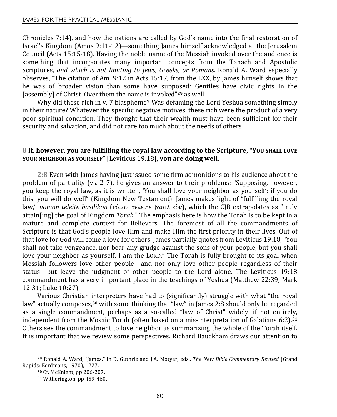Chronicles 7:14), and how the nations are called by God's name into the final restoration of Israel's Kingdom (Amos 9:11-12)—something James himself acknowledged at the Jerusalem Council (Acts 15:15-18). Having the noble name of the Messiah invoked over the audience is something that incorporates many important concepts from the Tanach and Apostolic Scriptures, *and which is not limiting to Jews, Greeks, or Romans.* Ronald A. Ward especially observes, "The citation of Am. 9:12 in Acts 15:17, from the LXX, by James himself shows that he was of broader vision than some have supposed: Gentiles have civic rights in the [assembly] of Christ. Over them the name is invoked" **<sup>29</sup>** as well.

Why did these rich in v. 7 blaspheme? Was defaming the Lord Yeshua something simply in their nature? Whatever the specific negative motives, these rich were the product of a very poor spiritual condition. They thought that their wealth must have been sufficient for their security and salvation, and did not care too much about the needs of others.

### **8 If, however, you are fulfilling the royal law according to the Scripture, "YOU SHALL LOVE YOUR NEIGHBOR AS YOURSELF"** [Leviticus 19:18]**, you are doing well.**

**2:8** Even with James having just issued some firm admonitions to his audience about the problem of partiality (vs. 2-7), he gives an answer to their problems: "Supposing, however, you keep the royal law, as it is written, 'You shall love your neighbor as yourself'; if you do this, you will do well" (Kingdom New Testament). James makes light of "fulfilling the royal law," *nomon teleite basilikon* ( $\nu$ о́μον τελείτε βασιλικὸν), which the CJB extrapolates as "truly attain[ing] the goal of Kingdom *Torah*." The emphasis here is how the Torah is to be kept in a mature and complete context for Believers. The foremost of all the commandments of Scripture is that God's people love Him and make Him the first priority in their lives. Out of that love for God will come a love for others. James partially quotes from Leviticus 19:18, "You shall not take vengeance, nor bear any grudge against the sons of your people, but you shall love your neighbor as yourself; I am the LORD." The Torah is fully brought to its goal when Messiah followers love other people—and not only love other people regardless of their status—but leave the judgment of other people to the Lord alone. The Leviticus 19:18 commandment has a very important place in the teachings of Yeshua (Matthew 22:39; Mark 12:31; Luke 10:27).

Various Christian interpreters have had to (significantly) struggle with what "the royal law" actually composes,**30** with some thinking that "law" in James 2:8 should only be regarded as a single commandment, perhaps as a so-called "law of Christ" widely, if not entirely, independent from the Mosaic Torah (often based on a mis-interpretation of Galatians 6:2).**<sup>31</sup>** Others see the commandment to love neighbor as summarizing the whole of the Torah itself. It is important that we review some perspectives. Richard Bauckham draws our attention to

**<sup>29</sup>** Ronald A. Ward, "James," in D. Guthrie and J.A. Motyer, eds., *The New Bible Commentary Revised* (Grand Rapids: Eerdmans, 1970), 1227.

**<sup>30</sup>** Cf. McKnight, pp 206-207.

**<sup>31</sup>** Witherington, pp 459-460.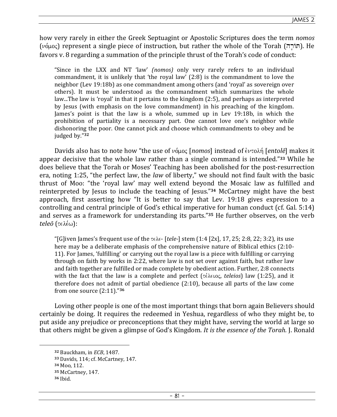how very rarely in either the Greek Septuagint or Apostolic Scriptures does the term *nomos*  $(\nu\acute{o}\mu o\varsigma)$  represent a single piece of instruction, but rather the whole of the Torah (חוֹרה). He favors v. 8 regarding a summation of the principle thrust of the Torah's code of conduct:

"Since in the LXX and NT 'law' *(nomos)* only very rarely refers to an individual commandment, it is unlikely that 'the royal law' (2:8) is the commandment to love the neighbor (Lev 19:18b) as one commandment among others (and 'royal' as sovereign over others). It must be understood as the commandment which summarizes the whole law...The law is 'royal' in that it pertains to the kingdom (2:5), and perhaps as interpreted by Jesus (with emphasis on the love commandment) in his preaching of the kingdom. James's point is that the law is a whole, summed up in Lev 19:18b, in which the prohibition of partiality is a necessary part. One cannot love one's neighbor while dishonoring the poor. One cannot pick and choose which commandments to obey and be judged by."**<sup>32</sup>**

Davids also has to note how "the use of νόμος [*nomos*] instead of *εντολή [entolē*] makes it appear decisive that the whole law rather than a single command is intended."**33** While he does believe that the Torah or Moses' Teaching has been abolished for the post-resurrection era, noting 1:25, "the perfect law, the *law* of liberty," we should not find fault with the basic thrust of Moo: "the 'royal law' may well extend beyond the Mosaic law as fulfilled and reinterpreted by Jesus to include the teaching of Jesus."**34** McCartney might have the best approach, first asserting how "It is better to say that Lev. 19:18 gives expression to a controlling and central principle of God's ethical imperative for human conduct (cf. Gal. 5:14) and serves as a framework for understanding its parts."**35** He further observes, on the verb *teleō* (τελέω):

"[G]iven James's frequent use of the  $\tau \in \lambda \in$ - [*tele*-] stem (1:4 [2x], 17, 25; 2:8, 22; 3:2), its use here may be a deliberate emphasis of the comprehensive nature of Biblical ethics (2:10- 11). For James, 'fulfilling' or carrying out the royal law is a piece with fulfilling or carrying through on faith by works in 2:22, where law is not set over against faith, but rather law and faith together are fulfilled or made complete by obedient action. Further, 2:8 connects with the fact that the law is a complete and perfect  $\{\tau \in \lambda \in \{0, \infty\} \}$  law (1:25), and it therefore does not admit of partial obedience (2:10), because all parts of the law come from one source (2:11)."**<sup>36</sup>**

Loving other people is one of the most important things that born again Believers should certainly be doing. It requires the redeemed in Yeshua, regardless of who they might be, to put aside any prejudice or preconceptions that they might have, serving the world at large so that others might be given a glimpse of God's Kingdom. *It is the essence of the Torah.* J. Ronald

**<sup>32</sup>** Bauckham, in *ECB*, 1487.

**<sup>33</sup>** Davids, 114; cf. McCartney, 147.

**<sup>34</sup>** Moo, 112.

**<sup>35</sup>** McCartney, 147.

**<sup>36</sup>** Ibid.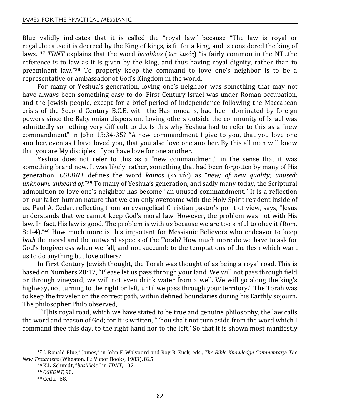Blue validly indicates that it is called the "royal law" because "The law is royal or regal...because it is decreed by the King of kings, is fit for a king, and is considered the king of laws."<sup>37</sup> *TDNT* explains that the word *basilikos* (βασιλικός) "is fairly common in the NT...the reference is to law as it is given by the king, and thus having royal dignity, rather than to preeminent law."**38** To properly keep the command to love one's neighbor is to be a representative or ambassador of God's Kingdom in the world.

For many of Yeshua's generation, loving one's neighbor was something that may not have always been something easy to do. First Century Israel was under Roman occupation, and the Jewish people, except for a brief period of independence following the Maccabean crisis of the Second Century B.C.E. with the Hasmoneans, had been dominated by foreign powers since the Babylonian dispersion. Loving others outside the community of Israel was admittedly something very difficult to do. Is this why Yeshua had to refer to this as a "new commandment" in John 13:34-35? "A new commandment I give to you, that you love one another, even as I have loved you, that you also love one another. By this all men will know that you are My disciples, if you have love for one another."

Yeshua does not refer to this as a "new commandment" in the sense that it was something brand new. It was likely, rather, something that had been forgotten by many of His **generation.** *CGEDNT* defines the word *kainos* (καινός) as "*new; of new quality; unused; unknown, unheard of*."**39** To many of Yeshua's generation, and sadly many today, the Scriptural admonition to love one's neighbor has become "an unused commandment." It is a reflection on our fallen human nature that we can only overcome with the Holy Spirit resident inside of us. Paul A. Cedar, reflecting from an evangelical Christian pastor's point of view, says, "Jesus understands that we cannot keep God's moral law. However, the problem was not with His law. In fact, His law is good. The problem is with us because we are too sinful to obey it (Rom. 8:1-4)."**40** How much more is this important for Messianic Believers who endeavor to keep *both* the moral and the outward aspects of the Torah? How much more do we have to ask for God's forgiveness when we fall, and not succumb to the temptations of the flesh which want us to do anything but love others?

In First Century Jewish thought, the Torah was thought of as being a royal road. This is based on Numbers 20:17, "Please let us pass through your land. We will not pass through field or through vineyard; we will not even drink water from a well. We will go along the king's highway, not turning to the right or left, until we pass through your territory." The Torah was to keep the traveler on the correct path, within defined boundaries during his Earthly sojourn. The philosopher Philo observed,

"[T]his royal road, which we have stated to be true and genuine philosophy, the law calls the word and reason of God; for it is written, 'Thou shalt not turn aside from the word which I command thee this day, to the right hand nor to the left,' So that it is shown most manifestly

**<sup>37</sup>** J. Ronald Blue," James," in John F. Walvoord and Roy B. Zuck, eds., *The Bible Knowledge Commentary: The New Testament* (Wheaton, IL: Victor Books, 1983), 825.

**<sup>38</sup>** K.L. Schmidt, "*basilikós*," in *TDNT*, 102. **<sup>39</sup>** *CGEDNT*, 90.

**<sup>40</sup>** Cedar, 68.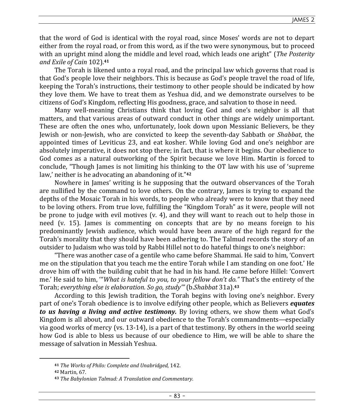that the word of God is identical with the royal road, since Moses' words are not to depart either from the royal road, or from this word, as if the two were synonymous, but to proceed with an upright mind along the middle and level road, which leads one aright" (*The Posterity and Exile of Cain* 102).**<sup>41</sup>**

The Torah is likened unto a royal road, and the principal law which governs that road is that God's people love their neighbors. This is because as God's people travel the road of life, keeping the Torah's instructions, their testimony to other people should be indicated by how they love them. We have to treat them as Yeshua did, and we demonstrate ourselves to be citizens of God's Kingdom, reflecting His goodness, grace, and salvation to those in need.

Many well-meaning Christians think that loving God and one's neighbor is all that matters, and that various areas of outward conduct in other things are widely unimportant. These are often the ones who, unfortunately, look down upon Messianic Believers, be they Jewish or non-Jewish, who are convicted to keep the seventh-day Sabbath or *Shabbat*, the appointed times of Leviticus 23, and eat kosher. While loving God and one's neighbor are absolutely imperative, it does not stop there; in fact, that is where it begins. Our obedience to God comes as a natural outworking of the Spirit because we love Him. Martin is forced to conclude, "Though James is not limiting his thinking to the OT law with his use of 'supreme law,' neither is he advocating an abandoning of it." **42**

Nowhere in James' writing is he supposing that the outward observances of the Torah are nullified by the command to love others. On the contrary, James is trying to expand the depths of the Mosaic Torah in his words, to people who already were to know that they need to be loving others. From true love, fulfilling the "Kingdom Torah" as it were, people will not be prone to judge with evil motives (v. 4), and they will want to reach out to help those in need (v. 15). James is commenting on concepts that are by no means foreign to his predominantly Jewish audience, which would have been aware of the high regard for the Torah's morality that they should have been adhering to. The Talmud records the story of an outsider to Judaism who was told by Rabbi Hillel not to do hateful things to one's neighbor:

"There was another case of a gentile who came before Shammai. He said to him, 'Convert me on the stipulation that you teach me the entire Torah while I am standing on one foot.' He drove him off with the building cubit that he had in his hand. He came before Hillel: 'Convert me.' He said to him, '"*What is hateful to you, to your fellow don't do."* That's the entirety of the Torah; *everything else is elaboration. So go, study'"* (b.*Shabbat* 31a).**<sup>43</sup>**

According to this Jewish tradition, the Torah begins with loving one's neighbor. Every part of one's Torah obedience is to involve edifying other people, which as Believers *equates to us having a living and active testimony.* By loving others, we show them what God's Kingdom is all about, and our outward obedience to the Torah's commandments—especially via good works of mercy (vs. 13-14), is a part of that testimony. By others in the world seeing how God is able to bless us because of our obedience to Him, we will be able to share the message of salvation in Messiah Yeshua.

**<sup>41</sup>** *The Works of Philo: Complete and Unabridged*, 142.

**<sup>42</sup>** Martin, 67.

**<sup>43</sup>** *The Babylonian Talmud: A Translation and Commentary.*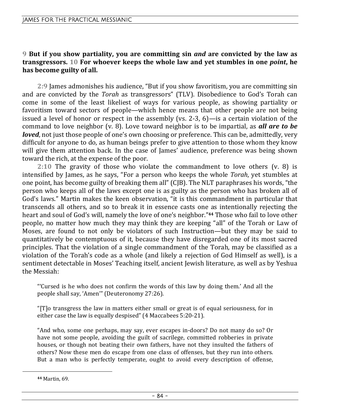## **9 But if you show partiality, you are committing sin** *and* **are convicted by the law as transgressors. 10 For whoever keeps the whole law and yet stumbles in one** *point***, he has become guilty of all.**

**2:9** James admonishes his audience, "But if you show favoritism, you are committing sin and are convicted by the *Torah* as transgressors" (TLV). Disobedience to God's Torah can come in some of the least likeliest of ways for various people, as showing partiality or favoritism toward sectors of people—which hence means that other people are not being issued a level of honor or respect in the assembly (vs. 2-3, 6)—is a certain violation of the command to love neighbor (v. 8). Love toward neighbor is to be impartial, as *all are to be loved*, not just those people of one's own choosing or preference. This can be, admittedly, very difficult for anyone to do, as human beings prefer to give attention to those whom they know will give them attention back. In the case of James' audience, preference was being shown toward the rich, at the expense of the poor.

**2:10** The gravity of those who violate the commandment to love others (v. 8) is intensified by James, as he says, "For a person who keeps the whole *Torah*, yet stumbles at one point, has become guilty of breaking them all" (CJB). The NLT paraphrases his words, "the person who keeps all of the laws except one is as guilty as the person who has broken all of God's laws." Martin makes the keen observation, "it is this commandment in particular that transcends all others, and so to break it in essence casts one as intentionally rejecting the heart and soul of God's will, namely the love of one's neighbor."**44** Those who fail to love other people, no matter how much they may think they are keeping "all" of the Torah or Law of Moses, are found to not only be violators of such Instruction—but they may be said to quantitatively be contemptuous of it, because they have disregarded one of its most sacred principles. That the violation of a single commandment of the Torah, may be classified as a violation of the Torah's code as a whole (and likely a rejection of God Himself as well), is a sentiment detectable in Moses' Teaching itself, ancient Jewish literature, as well as by Yeshua the Messiah:

"'Cursed is he who does not confirm the words of this law by doing them.' And all the people shall say, 'Amen'" (Deuteronomy 27:26).

"[T]o transgress the law in matters either small or great is of equal seriousness, for in either case the law is equally despised" (4 Maccabees 5:20-21).

"And who, some one perhaps, may say, ever escapes in-doors? Do not many do so? Or have not some people, avoiding the guilt of sacrilege, committed robberies in private houses, or though not beating their own fathers, have not they insulted the fathers of others? Now these men do escape from one class of offenses, but they run into others. But a man who is perfectly temperate, ought to avoid every description of offense,

**<sup>44</sup>** Martin, 69.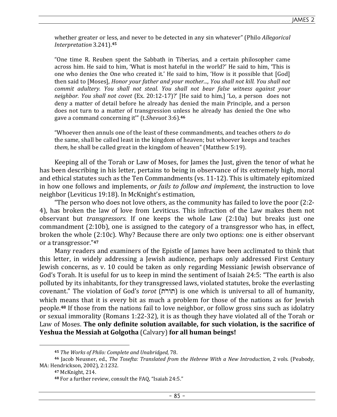whether greater or less, and never to be detected in any sin whatever" (Philo *Allegorical Interpretation* 3.241).**<sup>45</sup>**

"One time R. Reuben spent the Sabbath in Tiberias, and a certain philosopher came across him. He said to him, 'What is most hateful in the world?' He said to him, 'This is one who denies the One who created it.' He said to him, 'How is it possible that [God] then said to [Moses], *Honor your father and your mother..., You shall not kill. You shall not commit adultery. You shall not steal. You shall not bear false witness against your neighbor. You shall not covet* (Ex. 20:12-17)?' [He said to him,] 'Lo, a person does not deny a matter of detail before he already has denied the main Principle, and a person does not turn to a matter of transgression unless he already has denied the One who gave a command concerning it'" (t.*Shevuot* 3:6).**<sup>46</sup>**

"Whoever then annuls one of the least of these commandments, and teaches others *to do*  the same, shall be called least in the kingdom of heaven; but whoever keeps and teaches *them*, he shall be called great in the kingdom of heaven" (Matthew 5:19).

Keeping all of the Torah or Law of Moses, for James the Just, given the tenor of what he has been describing in his letter, pertains to being in observance of its extremely high, moral and ethical statutes such as the Ten Commandments (vs. 11-12). This is ultimately epitomized in how one follows and implements, *or fails to follow and implement*, the instruction to love neighbor (Leviticus 19:18). In McKnight's estimation,

"The person who does not love others, as the community has failed to love the poor (2:2- 4), has broken the law of love from Leviticus. This infraction of the Law makes them not observant but *transgressors.* If one keeps the whole Law (2:10a) but breaks just one commandment (2:10b), one is assigned to the category of a transgressor who has, in effect, broken the whole (2:10c). Why? Because there are only two options: one is either observant or a transgressor."**<sup>47</sup>**

Many readers and examiners of the Epistle of James have been acclimated to think that this letter, in widely addressing a Jewish audience, perhaps only addressed First Century Jewish concerns, as v. 10 could be taken as only regarding Messianic Jewish observance of God's Torah. It is useful for us to keep in mind the sentiment of Isaiah 24:5: "The earth is also polluted by its inhabitants, for they transgressed laws, violated statutes, broke the everlasting covenant." The violation of God's *torot* (tr oAt) is one which is universal to all of humanity, which means that it is every bit as much a problem for those of the nations as for Jewish people.**48** If those from the nations fail to love neighbor, or follow gross sins such as idolatry or sexual immorality (Romans 1:22-32), it is as though they have violated all of the Torah or Law of Moses. **The only definite solution available, for such violation, is the sacrifice of Yeshua the Messiah at Golgotha** (Calvary) **for all human beings!** 

**<sup>45</sup>** *The Works of Philo: Complete and Unabridged*, 78.

**<sup>46</sup>** Jacob Neusner, ed., *The Tosefta: Translated from the Hebrew With a New Introduction*, 2 vols. (Peabody, MA: Hendrickson, 2002), 2:1232.

**<sup>47</sup>** McKnight, 214.

**<sup>48</sup>** For a further review, consult the FAQ, "Isaiah 24:5."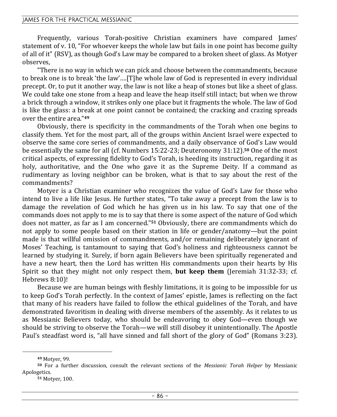Frequently, various Torah-positive Christian examiners have compared James' statement of v. 10, "For whoever keeps the whole law but fails in one point has become guilty of all of it" (RSV), as though God's Law may be compared to a broken sheet of glass. As Motyer observes,

"There is no way in which we can pick and choose between the commandments, because to break one is to break 'the law'….[T]he whole law of God is represented in every individual precept. Or, to put it another way, the law is not like a heap of stones but like a sheet of glass. We could take one stone from a heap and leave the heap itself still intact; but when we throw a brick through a window, it strikes only one place but it fragments the whole. The law of God is like the glass: a break at one point cannot be contained; the cracking and crazing spreads over the entire area."**<sup>49</sup>**

Obviously, there is specificity in the commandments of the Torah when one begins to classify them. Yet for the most part, all of the groups within Ancient Israel were expected to observe the same core series of commandments, and a daily observance of God's Law would be essentially the same for all (cf. Numbers 15:22-23; Deuteronomy 31:12).**50** One of the most critical aspects, of expressing fidelity to God's Torah, is heeding its instruction, regarding it as holy, authoritative, and the One who gave it as the Supreme Deity. If a command as rudimentary as loving neighbor can be broken, what is that to say about the rest of the commandments?

Motyer is a Christian examiner who recognizes the value of God's Law for those who intend to live a life like Jesus. He further states, "To take away a precept from the law is to damage the revelation of God which he has given us in his law. To say that one of the commands does not apply to me is to say that there is some aspect of the nature of God which does not matter, as far as I am concerned."**51** Obviously, there are commandments which do not apply to some people based on their station in life or gender/anatomy—but the point made is that willful omission of commandments, and/or remaining deliberately ignorant of Moses' Teaching, is tantamount to saying that God's holiness and righteousness cannot be learned by studying it. Surely, if born again Believers have been spiritually regenerated and have a new heart, then the Lord has written His commandments upon their hearts by His Spirit so that they might not only respect them, **but keep them** (Jeremiah 31:32-33; cf. Hebrews 8:10)!

Because we are human beings with fleshly limitations, it is going to be impossible for us to keep God's Torah perfectly. In the context of James' epistle, James is reflecting on the fact that many of his readers have failed to follow the ethical guidelines of the Torah, and have demonstrated favoritism in dealing with diverse members of the assembly. As it relates to us as Messianic Believers today, who should be endeavoring to obey God—even though we should be striving to observe the Torah—we will still disobey it unintentionally. The Apostle Paul's steadfast word is, "all have sinned and fall short of the glory of God" (Romans 3:23).

**<sup>49</sup>** Motyer, 99.

**<sup>50</sup>** For a further discussion, consult the relevant sections of the *Messianic Torah Helper* by Messianic Apologetics*.*

**<sup>51</sup>** Motyer, 100.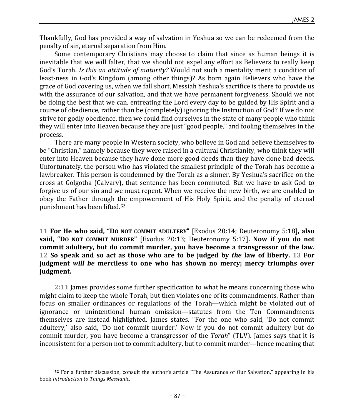Thankfully, God has provided a way of salvation in Yeshua so we can be redeemed from the penalty of sin, eternal separation from Him.

Some contemporary Christians may choose to claim that since as human beings it is inevitable that we will falter, that we should not expel any effort as Believers to really keep God's Torah. *Is this an attitude of maturity?* Would not such a mentality merit a condition of least-ness in God's Kingdom (among other things)? As born again Believers who have the grace of God covering us, when we fall short, Messiah Yeshua's sacrifice is there to provide us with the assurance of our salvation, and that we have permanent forgiveness. Should we not be doing the best that we can, entreating the Lord every day to be guided by His Spirit and a course of obedience, rather than be (completely) ignoring the Instruction of God? If we do not strive for godly obedience, then we could find ourselves in the state of many people who think they will enter into Heaven because they are just "good people," and fooling themselves in the process.

There are many people in Western society, who believe in God and believe themselves to be "Christian," namely because they were raised in a cultural Christianity, who think they will enter into Heaven because they have done more good deeds than they have done bad deeds. Unfortunately, the person who has violated the smallest principle of the Torah has become a lawbreaker. This person is condemned by the Torah as a sinner. By Yeshua's sacrifice on the cross at Golgotha (Calvary), that sentence has been commuted. But we have to ask God to forgive us of our sin and we must repent. When we receive the new birth, we are enabled to obey the Father through the empowerment of His Holy Spirit, and the penalty of eternal punishment has been lifted.**<sup>52</sup>**

**11 For He who said, "DO NOT COMMIT ADULTERY"** [Exodus 20:14; Deuteronomy 5:18]**, also said, "DO NOT COMMIT MURDER"** [Exodus 20:13; Deuteronomy 5:17]**. Now if you do not commit adultery, but do commit murder, you have become a transgressor of the law. 12 So speak and so act as those who are to be judged by** *the* **law of liberty. 13 For judgment** *will be* **merciless to one who has shown no mercy; mercy triumphs over judgment.** 

**2:11** James provides some further specification to what he means concerning those who might claim to keep the whole Torah, but then violates one of its commandments. Rather than focus on smaller ordinances or regulations of the Torah—which might be violated out of ignorance or unintentional human omission—statutes from the Ten Commandments themselves are instead highlighted. James states, "For the one who said, 'Do not commit adultery,' also said, 'Do not commit murder.' Now if you do not commit adultery but do commit murder, you have become a transgressor of the *Torah*" (TLV). James says that it is inconsistent for a person not to commit adultery, but to commit murder—hence meaning that

**<sup>52</sup>** For a further discussion, consult the author's article "The Assurance of Our Salvation," appearing in his book *Introduction to Things Messianic.*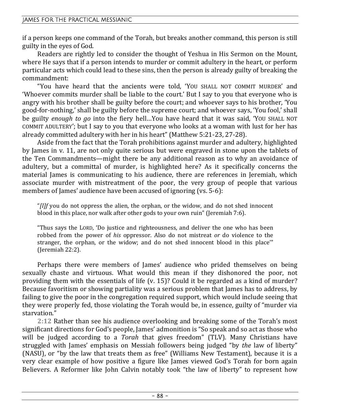if a person keeps one command of the Torah, but breaks another command, this person is still guilty in the eyes of God.

Readers are rightly led to consider the thought of Yeshua in His Sermon on the Mount, where He says that if a person intends to murder or commit adultery in the heart, or perform particular acts which could lead to these sins, then the person is already guilty of breaking the commandment:

"You have heard that the ancients were told, 'YOU SHALL NOT COMMIT MURDER' and 'Whoever commits murder shall be liable to the court.' But I say to you that everyone who is angry with his brother shall be guilty before the court; and whoever says to his brother, 'You good-for-nothing,' shall be guilty before the supreme court; and whoever says, 'You fool,' shall be guilty *enough to go* into the fiery hell…You have heard that it was said, 'YOU SHALL NOT COMMIT ADULTERY'; but I say to you that everyone who looks at a woman with lust for her has already committed adultery with her in his heart" (Matthew 5:21-23, 27-28).

Aside from the fact that the Torah prohibitions against murder and adultery, highlighted by James in v. 11, are not only quite serious but were engraved in stone upon the tablets of the Ten Commandments—might there be any additional reason as to why an avoidance of adultery, but a committal of murder, is highlighted here? As it specifically concerns the material James is communicating to his audience, there are references in Jeremiah, which associate murder with mistreatment of the poor, the very group of people that various members of James' audience have been accused of ignoring (vs. 5-6):

"*[I]f* you do not oppress the alien, the orphan, or the widow, and do not shed innocent blood in this place, nor walk after other gods to your own ruin" (Jeremiah 7:6).

"Thus says the LORD, 'Do justice and righteousness, and deliver the one who has been robbed from the power of *his* oppressor. Also do not mistreat *or* do violence to the stranger, the orphan, or the widow; and do not shed innocent blood in this place'" (Jeremiah 22:2).

Perhaps there were members of James' audience who prided themselves on being sexually chaste and virtuous. What would this mean if they dishonored the poor, not providing them with the essentials of life (v. 15)? Could it be regarded as a kind of murder? Because favoritism or showing partiality was a serious problem that James has to address, by failing to give the poor in the congregation required support, which would include seeing that they were properly fed, those violating the Torah would be, in essence, guilty of "murder via starvation."

**2:12** Rather than see his audience overlooking and breaking some of the Torah's most significant directions for God's people, James' admonition is "So speak and so act as those who will be judged according to a *Torah* that gives freedom" (TLV). Many Christians have struggled with James' emphasis on Messiah followers being judged "by *the* law of liberty" (NASU), or "by the law that treats them as free" (Williams New Testament), because it is a very clear example of how positive a figure like James viewed God's Torah for born again Believers. A Reformer like John Calvin notably took "the law of liberty" to represent how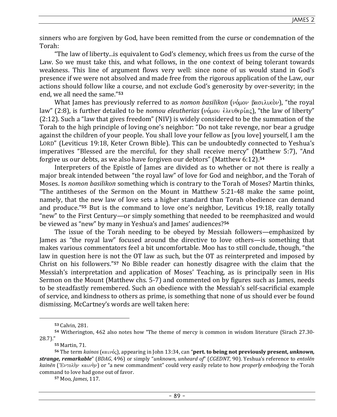sinners who are forgiven by God, have been remitted from the curse or condemnation of the Torah:

"The law of liberty...is equivalent to God's clemency, which frees us from the curse of the Law. So we must take this, and what follows, in the one context of being tolerant towards weakness. This line of argument flows very well: since none of us would stand in God's presence if we were not absolved and made free from the rigorous application of the Law, our actions should follow like a course, and not exclude God's generosity by over-severity; in the end, we all need the same."**<sup>53</sup>**

What James has previously referred to as *nomon basilikon* (νόμον βασιλικὸν), "the royal law" (2:8), is further detailed to be *nomou eleutherias* (νόμου έλευθερίας), "the law of liberty" (2:12). Such a "law that gives freedom" (NIV) is widely considered to be the summation of the Torah to the high principle of loving one's neighbor: "Do not take revenge, nor bear a grudge against the children of your people. You shall love your fellow as [you love] yourself, I am the LORD" (Leviticus 19:18, Keter Crown Bible). This can be undoubtedly connected to Yeshua's imperatives "Blessed are the merciful, for they shall receive mercy" (Matthew 5:7), "And forgive us our debts, as we also have forgiven our debtors" (Matthew 6:12).**<sup>54</sup>**

Interpreters of the Epistle of James are divided as to whether or not there is really a major break intended between "the royal law" of love for God and neighbor, and the Torah of Moses. Is *nomon basilikon* something which is contrary to the Torah of Moses? Martin thinks, "The antitheses of the Sermon on the Mount in Matthew 5:21-48 make the same point, namely, that the new law of love sets a higher standard than Torah obedience can demand and produce."**55** But is the command to love one's neighbor, Leviticus 19:18, really totally "new" to the First Century—or simply something that needed to be reemphasized and would be viewed as "new" by many in Yeshua's and James' audiences?**<sup>56</sup>**

The issue of the Torah needing to be obeyed by Messiah followers—emphasized by James as "the royal law" focused around the directive to love others—is something that makes various commentators feel a bit uncomfortable. Moo has to still conclude, though, "the law in question here is not the OT law as such, but the OT as reinterpreted and imposed by Christ on his followers."**57** No Bible reader can honestly disagree with the claim that the Messiah's interpretation and application of Moses' Teaching, as is principally seen in His Sermon on the Mount (Matthew chs. 5-7) and commented on by figures such as James, needs to be steadfastly remembered. Such an obedience with the Messiah's self-sacrificial example of service, and kindness to others as prime, is something that none of us should ever be found dismissing. McCartney's words are well taken here:

**<sup>55</sup>** Martin, 71.

**57** Moo, *James*, 117.

**<sup>53</sup>** Calvin, 281.

**<sup>54</sup>** Witherington, 462 also notes how "The theme of mercy is common in wisdom literature (Sirach 27.30- 28.7)."

**<sup>56</sup>** The term *kainos* (καινός), appearing in John 13:34, can "pert. to being not previously present, *unknown*, *strange, remarkable*" (*BDAG*, 496) or simply "*unknown, unheard of*" (*CGEDNT*, 90). Yeshua's reference to *entolēn kainēn* (Έντολὴν καινὴν) or "a new commandment" could very easily relate to how *properly embodying* the Torah command to love had gone out of favor.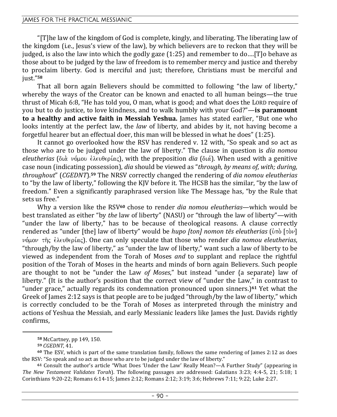"[T]he law of the kingdom of God is complete, kingly, and liberating. The liberating law of the kingdom (i.e., Jesus's view of the law), by which believers are to reckon that they will be judged, is also the law into which the godly gaze (1:25) and remember to do….[T]o behave as those about to be judged by the law of freedom is to remember mercy and justice and thereby to proclaim liberty. God is merciful and just; therefore, Christians must be merciful and just."**<sup>58</sup>**

That all born again Believers should be committed to following "the law of liberty," whereby the ways of the Creator can be known and enacted to all human beings—the true thrust of Micah 6:8, "He has told you, O man, what is good; and what does the LORD require of you but to do justice, to love kindness, and to walk humbly with your God?"—**is paramount to a healthy and active faith in Messiah Yeshua.** James has stated earlier, "But one who looks intently at the perfect law, the *law* of liberty, and abides by it, not having become a forgetful hearer but an effectual doer, this man will be blessed in what he does" (1:25).

It cannot go overlooked how the RSV has rendered v. 12 with, "So speak and so act as those who are to be judged under the law of liberty." The clause in question is *dia nomou eleutherias* (διὰ νόμου ἐλευθερίας), with the preposition *dia* (διά). When used with a genitive case noun (indicating possession), *dia* should be viewed as "*through, by means of, with; during, throughout*" (*CGEDNT*).**59** The NRSV correctly changed the rendering of *dia nomou eleutherias* to "by the law of liberty," following the KJV before it. The HCSB has the similar, "by the law of freedom." Even a significantly paraphrased version like The Message has, "by the Rule that sets us free."

Why a version like the RSV**60** chose to render *dia nomou eleutherias*—which would be best translated as either "by *the* law of liberty" (NASU) or "through the law of liberty"—with "under the law of liberty," has to be because of theological reasons. A clause correctly rendered as "under [the] law of liberty" would be *hupo [ton] nomon tēs eleutherias* (ὑπὸ [τὸν] νόμον τῆς ἐλευθερίας). One can only speculate that those who render *dia nomou eleutherias*, "through/by the law of liberty," as "under the law of liberty," want such a law of liberty to be viewed as independent from the Torah of Moses *and* to supplant and replace the rightful position of the Torah of Moses in the hearts and minds of born again Believers. Such people are thought to not be "under the Law *of Moses*," but instead "under {a separate} law of liberty." (It is the author's position that the correct view of "under the Law," in contrast to "under grace," actually regards its condemnation pronounced upon sinners.)**61** Yet what the Greek of James 2:12 says is that people are to be judged "through/by the law of liberty," which is correctly concluded to be the Torah of Moses as interpreted through the ministry and actions of Yeshua the Messiah, and early Messianic leaders like James the Just. Davids rightly confirms,

**<sup>58</sup>** McCartney, pp 149, 150.

**<sup>59</sup>** *CGEDNT*, 41.

**<sup>60</sup>** The ESV, which is part of the same translation family, follows the same rendering of James 2:12 as does the RSV: "So speak and so act as those who are to be judged under the law of liberty."

**<sup>61</sup>** Consult the author's article "What Does 'Under the Law' Really Mean?—A Further Study" (appearing in *The New Testament Validates Torah*). The following passages are addressed: Galatians 3:23; 4:4-5, 21; 5:18; 1 Corinthians 9:20-22; Romans 6:14-15; James 2:12; Romans 2:12; 3:19; 3:6; Hebrews 7:11; 9:22; Luke 2:27.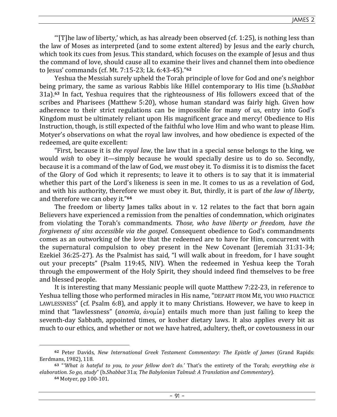JAMES 2

" $[T]$ he law of liberty,' which, as has already been observed (cf. 1:25), is nothing less than the law of Moses as interpreted (and to some extent altered) by Jesus and the early church, which took its cues from Jesus. This standard, which focuses on the example of Jesus and thus the command of love, should cause all to examine their lives and channel them into obedience to Jesus' commands (cf. Mt. 7:15-23; Lk. 6:43-45)."**<sup>62</sup>**

Yeshua the Messiah surely upheld the Torah principle of love for God and one's neighbor being primary, the same as various Rabbis like Hillel contemporary to His time (b.*Shabbat* 31a).**63** In fact, Yeshua requires that the righteousness of His followers exceed that of the scribes and Pharisees (Matthew 5:20), whose human standard was fairly high. Given how adherence to their strict regulations can be impossible for many of us, entry into God's Kingdom must be ultimately reliant upon His magnificent grace and mercy! Obedience to His Instruction, though, is still expected of the faithful who love Him and who want to please Him. Motyer's observations on what the royal law involves, and how obedience is expected of the redeemed, are quite excellent:

"First, because it is *the royal law*, the law that in a special sense belongs to the king, we would *wish* to obey it—simply because he would specially desire us to do so. Secondly, because it is a command of the law of God, we *must* obey it. To dismiss it is to dismiss the facet of the Glory of God which it represents; to leave it to others is to say that it is immaterial whether this part of the Lord's likeness is seen in me. It comes to us as a revelation of God, and with his authority, therefore we must obey it. But, thirdly, it is part of *the law of liberty*, and therefore we can obey it."**<sup>64</sup>**

The freedom or liberty James talks about in v. 12 relates to the fact that born again Believers have experienced a remission from the penalties of condemnation, which originates from violating the Torah's commandments. *Those, who have liberty or freedom, have the forgiveness of sins accessible via the gospel.* Consequent obedience to God's commandments comes as an outworking of the love that the redeemed are to have for Him, concurrent with the supernatural compulsion to obey present in the New Covenant (Jeremiah 31:31-34; Ezekiel 36:25-27). As the Psalmist has said, "I will walk about in freedom, for I have sought out your precepts" (Psalm 119:45, NIV). When the redeemed in Yeshua keep the Torah through the empowerment of the Holy Spirit, they should indeed find themselves to be free and blessed people.

It is interesting that many Messianic people will quote Matthew 7:22-23, in reference to Yeshua telling those who performed miracles in His name, "DEPART FROM ME, YOU WHO PRACTICE LAWLESSNESS" (cf. Psalm 6:8), and apply it to many Christians. However, we have to keep in mind that "lawlessness" (*anomia*,  $\alpha v \circ \mu(\alpha)$  entails much more than just failing to keep the seventh-day Sabbath, appointed times, or kosher dietary laws. It also applies every bit as much to our ethics, and whether or not we have hatred, adultery, theft, or covetousness in our

**<sup>62</sup>** Peter Davids, *New International Greek Testament Commentary: The Epistle of James* (Grand Rapids: Eerdmans, 1982), 118.

**<sup>63</sup>** "*'What is hateful to you, to your fellow don't do.'* That's the entirety of the Torah; *everything else is elaboration. So go, study*" (b.*Shabbat* 31a; *The Babylonian Talmud: A Translation and Commentary*).

**<sup>64</sup>** Motyer, pp 100-101.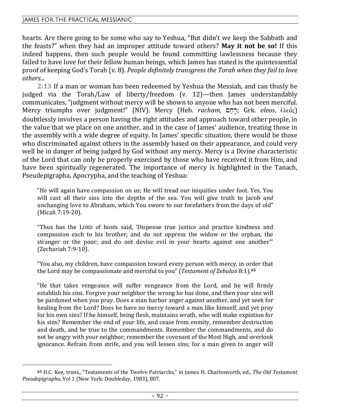hearts. Are there going to be some who say to Yeshua, "But didn't we keep the Sabbath and the feasts?" when they had an improper attitude toward others? **May it not be so!** If this indeed happens, then such people would be found committing lawlessness because they failed to have love for their fellow human beings, which James has stated is the quintessential proof of keeping God's Torah (v. 8). *People definitely transgress the Torah when they fail to love others...*

**2:13** If a man or woman has been redeemed by Yeshua the Messiah, and can thusly be judged via the Torah/Law of liberty/freedom (v. 12)—then James understandably communicates, "judgment without mercy will be shown to anyone who has not been merciful. Mercy triumphs over judgment!" (NIV). Mercy (Heb. *racham*, יִרְחָם; Grk. *eleos*, *ἐλ*εός) doubtlessly involves a person having the right attitudes and approach toward other people, in the value that we place on one another, and in the case of James' audience, treating those in the assembly with a wide degree of equity. In James' specific situation, there would be those who discriminated against others in the assembly based on their appearance, and could very well be in danger of being judged by God without any mercy. Mercy is a Divine characteristic of the Lord that can only be properly exercised by those who have received it from Him, and have been spiritually regenerated. The importance of mercy is highlighted in the Tanach, Pseudepigrapha, Apocrypha, and the teaching of Yeshua:

"He will again have compassion on us; He will tread our iniquities under foot. Yes, You will cast all their sins into the depths of the sea. You will give truth to Jacob *and*  unchanging love to Abraham, which You swore to our forefathers from the days of old" (Micah 7:19-20).

"Thus has the LORD of hosts said, 'Dispense true justice and practice kindness and compassion each to his brother; and do not oppress the widow or the orphan, the stranger or the poor; and do not devise evil in your hearts against one another'" (Zechariah 7:9-10).

"You also, my children, have compassion toward every person with mercy, in order that the Lord may be compassionate and merciful to you" (*Testament of Zebulun* 8:1).**<sup>65</sup>**

"He that takes vengeance will suffer vengeance from the Lord, and he will firmly establish his sins. Forgive your neighbor the wrong he has done, and then your sins will be pardoned when you pray. Does a man harbor anger against another, and yet seek for healing from the Lord? Does he have no mercy toward a man like himself, and yet pray for his own sins? If he himself, being flesh, maintains wrath, who will make expiation for his sins? Remember the end of your life, and cease from enmity, remember destruction and death, and be true to the commandments. Remember the commandments, and do not be angry with your neighbor; remember the covenant of the Most High, and overlook ignorance. Refrain from strife, and you will lessen sins; for a man given to anger will

**<sup>65</sup>** H.C. Kee, trans., "Testaments of the Twelve Patriarchs," in James H. Charlesworth, ed., *The Old Testament Pseudepigrapha*, Vol 1 (New York: Doubleday, 1983), 807.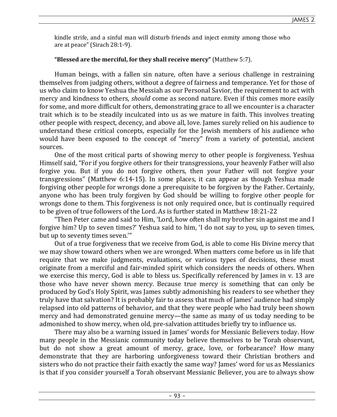kindle strife, and a sinful man will disturb friends and inject enmity among those who are at peace" (Sirach 28:1-9).

### **"Blessed are the merciful, for they shall receive mercy"** (Matthew 5:7).

Human beings, with a fallen sin nature, often have a serious challenge in restraining themselves from judging others, without a degree of fairness and temperance. Yet for those of us who claim to know Yeshua the Messiah as our Personal Savior, the requirement to act with mercy and kindness to others, *should* come as second nature. Even if this comes more easily for some, and more difficult for others, demonstrating grace to all we encounter is a character trait which is to be steadily inculcated into us as we mature in faith. This involves treating other people with respect, decency, and above all, love. James surely relied on his audience to understand these critical concepts, especially for the Jewish members of his audience who would have been exposed to the concept of "mercy" from a variety of potential, ancient sources.

One of the most critical parts of showing mercy to other people is forgiveness. Yeshua Himself said, "For if you forgive others for their transgressions, your heavenly Father will also forgive you. But if you do not forgive others, then your Father will not forgive your transgressions" (Matthew 6:14-15). In some places, it can appear as though Yeshua made forgiving other people for wrongs done a prerequisite to be forgiven by the Father. Certainly, anyone who has been truly forgiven by God should be willing to forgive other people for wrongs done to them. This forgiveness is not only required once, but is continually required to be given of true followers of the Lord. As is further stated in Matthew 18:21-22

"Then Peter came and said to Him, 'Lord, how often shall my brother sin against me and I forgive him? Up to seven times?' Yeshua said to him, 'I do not say to you, up to seven times, but up to seventy times seven.'"

Out of a true forgiveness that we receive from God, is able to come His Divine mercy that we may show toward others when we are wronged. When matters come before us in life that require that we make judgments, evaluations, or various types of decisions, these must originate from a merciful and fair-minded spirit which considers the needs of others. When we exercise this mercy, God is able to bless us. Specifically referenced by James in v. 13 are those who have never shown mercy. Because true mercy is something that can only be produced by God's Holy Spirit, was James subtly admonishing his readers to see whether they truly have that salvation? It is probably fair to assess that much of James' audience had simply relapsed into old patterns of behavior, and that they were people who had truly been shown mercy and had demonstrated genuine mercy—the same as many of us today needing to be admonished to show mercy, when old, pre-salvation attitudes briefly try to influence us.

There may also be a warning issued in James' words for Messianic Believers today. How many people in the Messianic community today believe themselves to be Torah observant, but do not show a great amount of mercy, grace, love, or forbearance? How many demonstrate that they are harboring unforgiveness toward their Christian brothers and sisters who do not practice their faith exactly the same way? James' word for us as Messianics is that if you consider yourself a Torah observant Messianic Believer, you are to always show